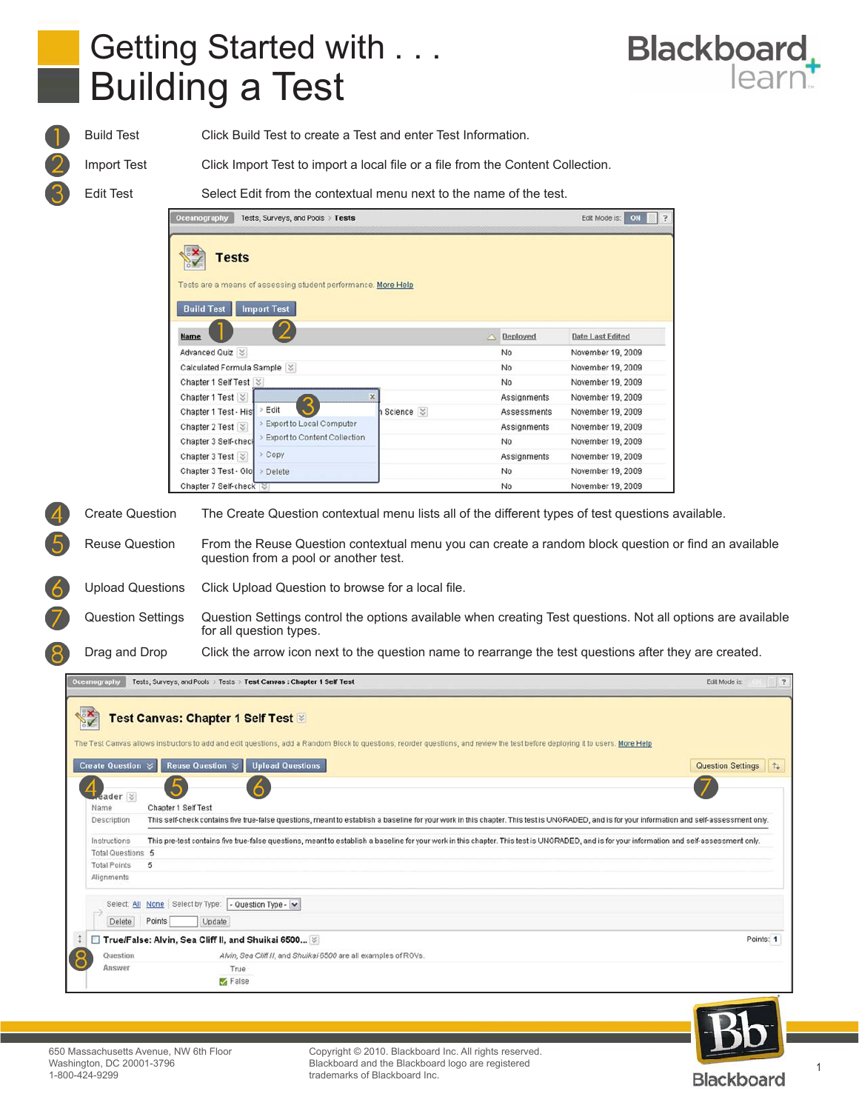

Build Test Click Build Test to create a Test and enter Test Information.

Import Test Click Import Test to import a local file or a file from the Content Collection.

Edit Test Select Edit from the contextual menu next to the name of the test.

| <b>Tests</b>                                                           |                            |                    |                         |
|------------------------------------------------------------------------|----------------------------|--------------------|-------------------------|
| Tests are a means of assessing student performance. More Help          |                            |                    |                         |
|                                                                        |                            |                    |                         |
| <b>Import Test</b><br><b>Build Test</b>                                |                            |                    |                         |
| <b>Name</b>                                                            | ×                          | Deployed           | <b>Date Last Edited</b> |
| Advanced Quiz $\ \%$                                                   |                            | No                 | November 19, 2009       |
| Calculated Formula Sample $ \% $                                       |                            | No                 | November 19, 2009       |
| Chapter 1 Self Test $\le$                                              |                            | No                 | November 19, 2009       |
| Chapter 1 Test                                                         |                            | Assignments        | November 19, 2009       |
| Edit<br>Chapter 1 Test - Hist                                          | Science $\vert \, \rangle$ | Assessments        | November 19, 2009       |
| Export to Local Computer<br>Chapter 2 Test $\lvert \mathcal{C} \rvert$ |                            | <b>Assignments</b> | November 19, 2009       |
| Export to Content Collection<br>Chapter 3 Self-check                   |                            | No                 | November 19, 2009       |
| > Copy<br>Chapter 3 Test $\le$                                         |                            | Assignments        | November 19, 2009       |
| Chapter 3 Test - Glo<br>Delete                                         |                            | N <sub>0</sub>     | November 19, 2009       |
| Chapter 7 Self-check                                                   |                            | No                 | November 19, 2009       |

Reuse Question From the Reuse Question contextual menu you can create a random block question or find an available question from a pool or another test.

Upload Questions Click Upload Question to browse for a local file.

Question Settings Question Settings control the options available when creating Test questions. Not all options are available for all question types.

Drag and Drop Click the arrow icon next to the question name to rearrange the test questions after they are created.

|                        | Tests, Surveys, and Pools > Tests > Test Canvas : Chapter 1 Self Test                                                                                                                                                          | Edit Mode is:       |
|------------------------|--------------------------------------------------------------------------------------------------------------------------------------------------------------------------------------------------------------------------------|---------------------|
|                        | <b>Test Canvas: Chapter 1 Self Test &amp;</b><br>The Test Canvas allows instructors to add and edit questions, add a Random Block to questions, reorder questions, and review the test before deploying it to users. More Help |                     |
| Create Question $\leq$ | <b>Upload Questions</b><br>Reuse Question $\mathcal{Z}$                                                                                                                                                                        | Question Settings 1 |
| Leader <sup>y</sup>    | .O                                                                                                                                                                                                                             |                     |
| Name                   | Chapter 1 Self Test                                                                                                                                                                                                            |                     |
| Description            | This self-check contains five true-false questions, meant to establish a baseline for your work in this chapter. This test is UNGRADED, and is for your information and self-assessment only.                                  |                     |
|                        |                                                                                                                                                                                                                                |                     |
| Instructions           | This pre-test contains five true-false questions, meant to establish a baseline for your work in this chapter. This test is UNGRADED, and is for your information and self-assessment only.                                    |                     |
| Total Questions 5      |                                                                                                                                                                                                                                |                     |
| <b>Total Points</b>    | 5                                                                                                                                                                                                                              |                     |
| Alignments             |                                                                                                                                                                                                                                |                     |
|                        | Select: All None Select by Type:<br>- Question Type - v                                                                                                                                                                        |                     |
| Delete                 | Points<br>Update                                                                                                                                                                                                               |                     |
|                        | □ True/False: Alvin, Sea Cliff II, and Shuikai 6500 ﴾                                                                                                                                                                          | Points: 1           |
| Question               | Alvin, Sea Cliff II, and Shuikai 6500 are all examples of ROVs.                                                                                                                                                                |                     |
| Answer                 | True                                                                                                                                                                                                                           |                     |



Blackboard and the Blackboard logo are registered<br>trademarks of Blackboard Inc. Copyright © 2010. Blackboard Inc. All rights reserved. trademarks of Blackboard Inc.

1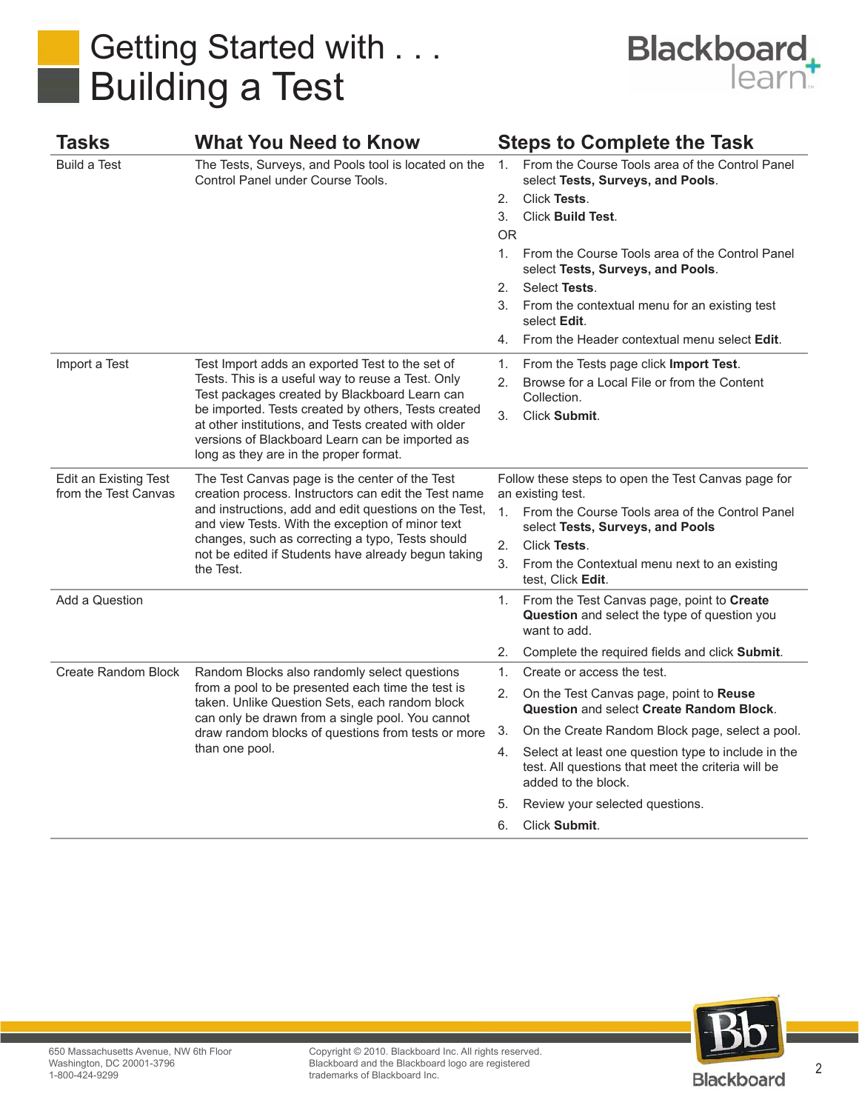

| Tasks                                         | <b>What You Need to Know</b>                                                                                                                                                                                                                                                                                                                                     |                                                    | <b>Steps to Complete the Task</b>                                                                                                                                                                                                                                                                                                                          |
|-----------------------------------------------|------------------------------------------------------------------------------------------------------------------------------------------------------------------------------------------------------------------------------------------------------------------------------------------------------------------------------------------------------------------|----------------------------------------------------|------------------------------------------------------------------------------------------------------------------------------------------------------------------------------------------------------------------------------------------------------------------------------------------------------------------------------------------------------------|
| <b>Build a Test</b>                           | The Tests, Surveys, and Pools tool is located on the<br>Control Panel under Course Tools.                                                                                                                                                                                                                                                                        | $1_{-}$<br>2.<br>3.<br>OR.<br>1.<br>2.<br>3.<br>4. | From the Course Tools area of the Control Panel<br>select Tests, Surveys, and Pools.<br>Click Tests.<br><b>Click Build Test.</b><br>From the Course Tools area of the Control Panel<br>select Tests, Surveys, and Pools.<br>Select Tests.<br>From the contextual menu for an existing test<br>select Edit.<br>From the Header contextual menu select Edit. |
| Import a Test                                 | Test Import adds an exported Test to the set of<br>Tests. This is a useful way to reuse a Test. Only<br>Test packages created by Blackboard Learn can<br>be imported. Tests created by others, Tests created<br>at other institutions, and Tests created with older<br>versions of Blackboard Learn can be imported as<br>long as they are in the proper format. | 1.<br>2.<br>3.                                     | From the Tests page click Import Test.<br>Browse for a Local File or from the Content<br>Collection.<br>Click Submit.                                                                                                                                                                                                                                      |
| Edit an Existing Test<br>from the Test Canvas | The Test Canvas page is the center of the Test<br>creation process. Instructors can edit the Test name<br>and instructions, add and edit questions on the Test,<br>and view Tests. With the exception of minor text<br>changes, such as correcting a typo, Tests should<br>not be edited if Students have already begun taking<br>the Test.                      | 1.<br>2.<br>3.                                     | Follow these steps to open the Test Canvas page for<br>an existing test.<br>From the Course Tools area of the Control Panel<br>select Tests, Surveys, and Pools<br>Click Tests.<br>From the Contextual menu next to an existing<br>test, Click Edit.                                                                                                       |
| Add a Question                                |                                                                                                                                                                                                                                                                                                                                                                  | 1.<br>2.                                           | From the Test Canvas page, point to Create<br>Question and select the type of question you<br>want to add.<br>Complete the required fields and click Submit.                                                                                                                                                                                               |
| Create Random Block                           | Random Blocks also randomly select questions<br>from a pool to be presented each time the test is<br>taken. Unlike Question Sets, each random block<br>can only be drawn from a single pool. You cannot<br>draw random blocks of questions from tests or more<br>than one pool.                                                                                  | 1 <sub>1</sub><br>2.                               | Create or access the test.<br>On the Test Canvas page, point to Reuse<br><b>Question and select Create Random Block.</b>                                                                                                                                                                                                                                   |
|                                               |                                                                                                                                                                                                                                                                                                                                                                  | 3.                                                 | On the Create Random Block page, select a pool.                                                                                                                                                                                                                                                                                                            |
|                                               |                                                                                                                                                                                                                                                                                                                                                                  | 4.                                                 | Select at least one question type to include in the<br>test. All questions that meet the criteria will be<br>added to the block.                                                                                                                                                                                                                           |
|                                               |                                                                                                                                                                                                                                                                                                                                                                  | 5.                                                 | Review your selected questions.                                                                                                                                                                                                                                                                                                                            |
|                                               |                                                                                                                                                                                                                                                                                                                                                                  | 6.                                                 | Click Submit.                                                                                                                                                                                                                                                                                                                                              |



Copyright © 2010. Blackboard Inc. All rights reserved. Blackboard and the Blackboard logo are registered trademarks of Blackboard Inc.

2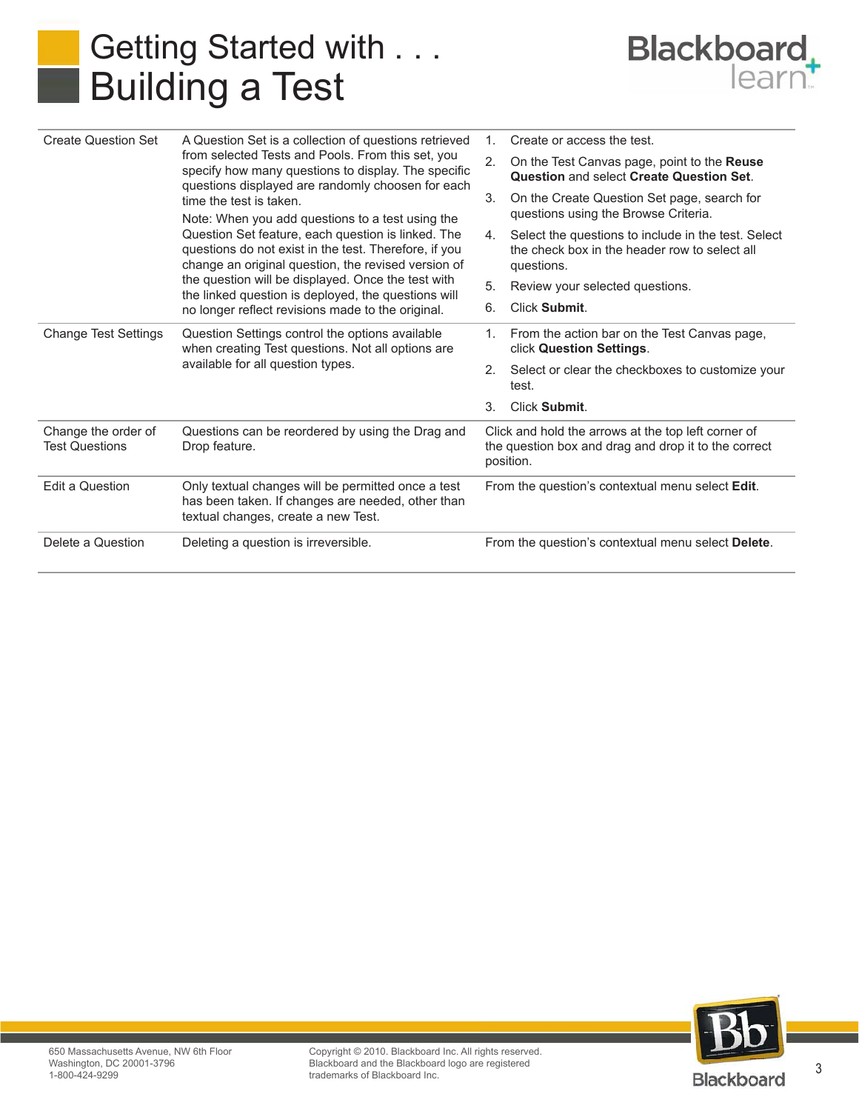

| <b>Create Question Set</b>                   | A Question Set is a collection of questions retrieved<br>from selected Tests and Pools. From this set, you<br>specify how many questions to display. The specific<br>questions displayed are randomly choosen for each<br>time the test is taken.<br>Note: When you add questions to a test using the<br>Question Set feature, each question is linked. The<br>questions do not exist in the test. Therefore, if you<br>change an original question, the revised version of<br>the question will be displayed. Once the test with<br>the linked question is deployed, the questions will<br>no longer reflect revisions made to the original. | $1_{-}$                                                                                                                  | Create or access the test.                                                                                         |
|----------------------------------------------|-----------------------------------------------------------------------------------------------------------------------------------------------------------------------------------------------------------------------------------------------------------------------------------------------------------------------------------------------------------------------------------------------------------------------------------------------------------------------------------------------------------------------------------------------------------------------------------------------------------------------------------------------|--------------------------------------------------------------------------------------------------------------------------|--------------------------------------------------------------------------------------------------------------------|
|                                              |                                                                                                                                                                                                                                                                                                                                                                                                                                                                                                                                                                                                                                               | 2.                                                                                                                       | On the Test Canvas page, point to the <b>Reuse</b><br>Question and select Create Question Set.                     |
|                                              |                                                                                                                                                                                                                                                                                                                                                                                                                                                                                                                                                                                                                                               | 3.                                                                                                                       | On the Create Question Set page, search for<br>questions using the Browse Criteria.                                |
|                                              |                                                                                                                                                                                                                                                                                                                                                                                                                                                                                                                                                                                                                                               | 4.                                                                                                                       | Select the questions to include in the test. Select<br>the check box in the header row to select all<br>questions. |
|                                              |                                                                                                                                                                                                                                                                                                                                                                                                                                                                                                                                                                                                                                               | 5.                                                                                                                       | Review your selected questions.                                                                                    |
|                                              |                                                                                                                                                                                                                                                                                                                                                                                                                                                                                                                                                                                                                                               | 6.                                                                                                                       | Click Submit.                                                                                                      |
| <b>Change Test Settings</b>                  | Question Settings control the options available<br>when creating Test questions. Not all options are<br>available for all question types.                                                                                                                                                                                                                                                                                                                                                                                                                                                                                                     | $\mathbf{1}$ .                                                                                                           | From the action bar on the Test Canvas page,<br>click Question Settings.                                           |
|                                              |                                                                                                                                                                                                                                                                                                                                                                                                                                                                                                                                                                                                                                               | 2.                                                                                                                       | Select or clear the checkboxes to customize your<br>test.                                                          |
|                                              |                                                                                                                                                                                                                                                                                                                                                                                                                                                                                                                                                                                                                                               | 3.                                                                                                                       | Click Submit.                                                                                                      |
| Change the order of<br><b>Test Questions</b> | Questions can be reordered by using the Drag and<br>Drop feature.                                                                                                                                                                                                                                                                                                                                                                                                                                                                                                                                                                             | Click and hold the arrows at the top left corner of<br>the question box and drag and drop it to the correct<br>position. |                                                                                                                    |
| Edit a Question                              | Only textual changes will be permitted once a test<br>has been taken. If changes are needed, other than<br>textual changes, create a new Test.                                                                                                                                                                                                                                                                                                                                                                                                                                                                                                | From the question's contextual menu select Edit.                                                                         |                                                                                                                    |
| Delete a Question                            | Deleting a question is irreversible.                                                                                                                                                                                                                                                                                                                                                                                                                                                                                                                                                                                                          |                                                                                                                          | From the question's contextual menu select Delete.                                                                 |



Copyright © 2010. Blackboard Inc. All rights reserved. Blackboard and the Blackboard logo are registered trademarks of Blackboard Inc.

3